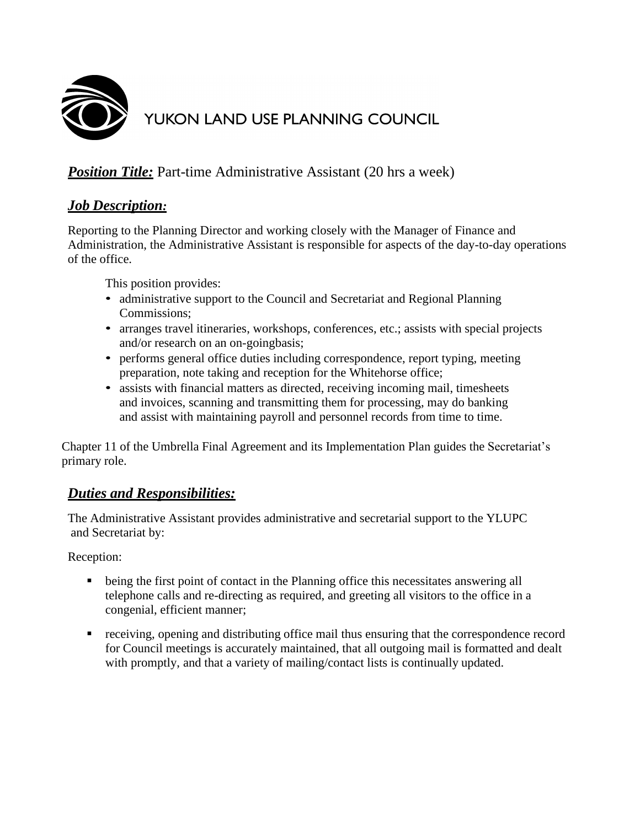

# YUKON LAND USE PLANNING COUNCIL

## *Position Title:* Part-time Administrative Assistant (20 hrs a week)

## *Job Description:*

Reporting to the Planning Director and working closely with the Manager of Finance and Administration, the Administrative Assistant is responsible for aspects of the day-to-day operations of the office.

This position provides:

- administrative support to the Council and Secretariat and Regional Planning Commissions;
- arranges travel itineraries, workshops, conferences, etc.; assists with special projects and/or research on an on-goingbasis;
- performs general office duties including correspondence, report typing, meeting preparation, note taking and reception for the Whitehorse office;
- assists with financial matters as directed, receiving incoming mail, timesheets and invoices, scanning and transmitting them for processing, may do banking and assist with maintaining payroll and personnel records from time to time.

Chapter 11 of the Umbrella Final Agreement and its Implementation Plan guides the Secretariat's primary role.

## *Duties and Responsibilities:*

The Administrative Assistant provides administrative and secretarial support to the YLUPC and Secretariat by:

Reception:

- being the first point of contact in the Planning office this necessitates answering all telephone calls and re-directing as required, and greeting all visitors to the office in a congenial, efficient manner;
- receiving, opening and distributing office mail thus ensuring that the correspondence record for Council meetings is accurately maintained, that all outgoing mail is formatted and dealt with promptly, and that a variety of mailing/contact lists is continually updated.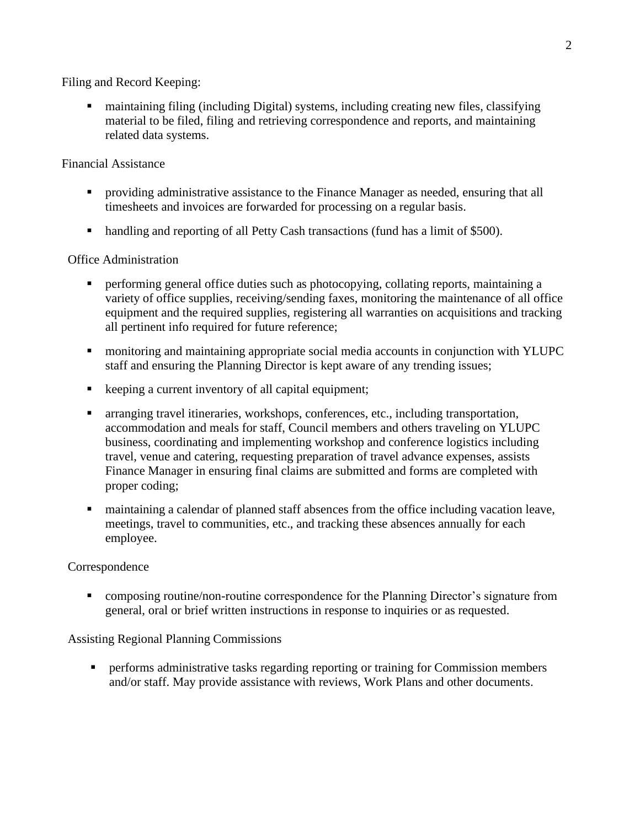Filing and Record Keeping:

■ maintaining filing (including Digital) systems, including creating new files, classifying material to be filed, filing and retrieving correspondence and reports, and maintaining related data systems.

#### Financial Assistance

- providing administrative assistance to the Finance Manager as needed, ensuring that all timesheets and invoices are forwarded for processing on a regular basis.
- handling and reporting of all Petty Cash transactions (fund has a limit of \$500).

#### Office Administration

- **•** performing general office duties such as photocopying, collating reports, maintaining a variety of office supplies, receiving/sending faxes, monitoring the maintenance of all office equipment and the required supplies, registering all warranties on acquisitions and tracking all pertinent info required for future reference;
- monitoring and maintaining appropriate social media accounts in conjunction with YLUPC staff and ensuring the Planning Director is kept aware of any trending issues;
- keeping a current inventory of all capital equipment;
- arranging travel itineraries, workshops, conferences, etc., including transportation, accommodation and meals for staff, Council members and others traveling on YLUPC business, coordinating and implementing workshop and conference logistics including travel, venue and catering, requesting preparation of travel advance expenses, assists Finance Manager in ensuring final claims are submitted and forms are completed with proper coding;
- maintaining a calendar of planned staff absences from the office including vacation leave, meetings, travel to communities, etc., and tracking these absences annually for each employee.

#### Correspondence

• composing routine/non-routine correspondence for the Planning Director's signature from general, oral or brief written instructions in response to inquiries or as requested.

#### Assisting Regional Planning Commissions

**•** performs administrative tasks regarding reporting or training for Commission members and/or staff. May provide assistance with reviews, Work Plans and other documents.